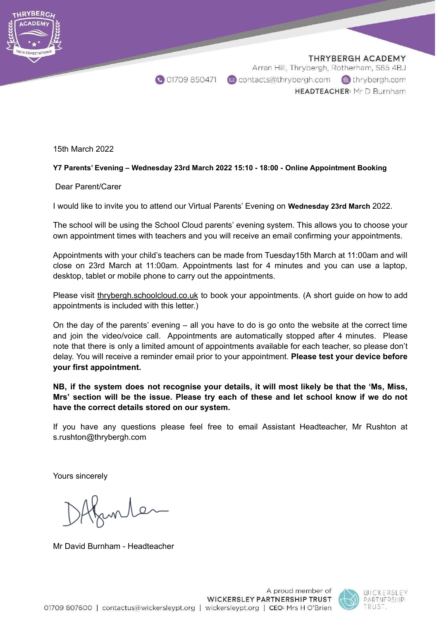

15th March 2022

# **Y7 Parents' Evening – Wednesday 23rd March 2022 15:10 - 18:00 - Online Appointment Booking**

# Dear Parent/Carer

I would like to invite you to attend our Virtual Parents' Evening on **Wednesday 23rd March** 2022.

The school will be using the School Cloud parents' evening system. This allows you to choose your own appointment times with teachers and you will receive an email confirming your appointments.

Appointments with your child's teachers can be made from Tuesday15th March at 11:00am and will close on 23rd March at 11:00am. Appointments last for 4 minutes and you can use a laptop, desktop, tablet or mobile phone to carry out the appointments.

Please visit thrybergh.schoolcloud.co.uk to book your appointments. (A short guide on how to add appointments is included with this letter.)

On the day of the parents' evening – all you have to do is go onto the website at the correct time and join the video/voice call. Appointments are automatically stopped after 4 minutes. Please note that there is only a limited amount of appointments available for each teacher, so please don't delay. You will receive a reminder email prior to your appointment. **Please test your device before your first appointment.**

**NB, if the system does not recognise your details, it will most likely be that the 'Ms, Miss, Mrs' section will be the issue. Please try each of these and let school know if we do not have the correct details stored on our system.**

If you have any questions please feel free to email Assistant Headteacher, Mr Rushton at s.rushton@thrybergh.com

Yours sincerely

funter

Mr David Burnham - Headteacher